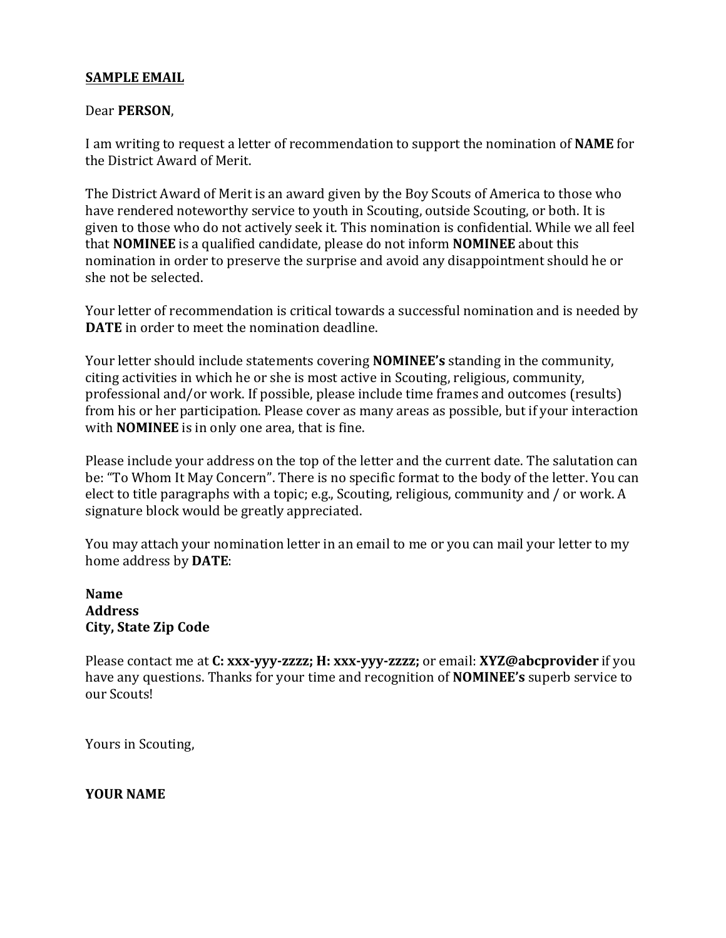#### **SAMPLE EMAIL**

#### Dear **PERSON**,

I am writing to request a letter of recommendation to support the nomination of **NAME** for the District Award of Merit.

The District Award of Merit is an award given by the Boy Scouts of America to those who have rendered noteworthy service to youth in Scouting, outside Scouting, or both. It is given to those who do not actively seek it. This nomination is confidential. While we all feel that **NOMINEE** is a qualified candidate, please do not inform **NOMINEE** about this nomination in order to preserve the surprise and avoid any disappointment should he or she not be selected.

Your letter of recommendation is critical towards a successful nomination and is needed by **DATE** in order to meet the nomination deadline.

Your letter should include statements covering **NOMINEE's** standing in the community, citing activities in which he or she is most active in Scouting, religious, community, professional and/or work. If possible, please include time frames and outcomes (results) from his or her participation. Please cover as many areas as possible, but if your interaction with **NOMINEE** is in only one area, that is fine.

Please include your address on the top of the letter and the current date. The salutation can be: "To Whom It May Concern". There is no specific format to the body of the letter. You can elect to title paragraphs with a topic; e.g., Scouting, religious, community and / or work. A signature block would be greatly appreciated.

You may attach your nomination letter in an email to me or you can mail your letter to my home address by **DATE**:

**Name Address City, State Zip Code**

Please contact me at **C:** xxx-yyy-zzzz; H: xxx-yyy-zzzz; or email: **XYZ@abcprovider** if you have any questions. Thanks for your time and recognition of **NOMINEE's** superb service to our Scouts!

Yours in Scouting,

**YOUR NAME**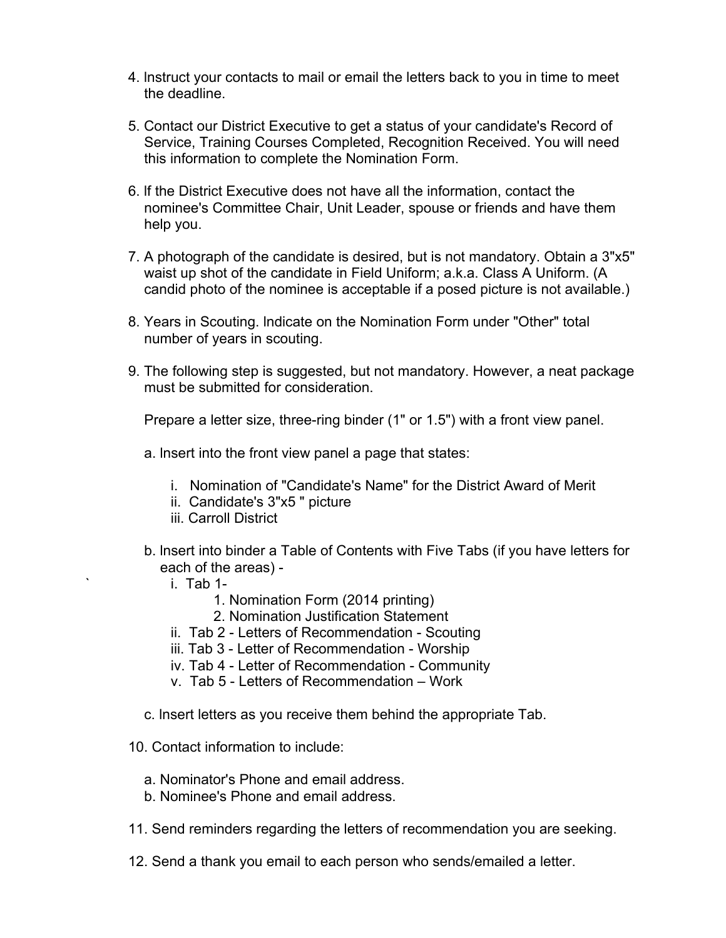- 4. lnstruct your contacts to mail or email the letters back to you in time to meet the deadline.
- 5. Contact our District Executive to get a status of your candidate's Record of Service, Training Courses Completed, Recognition Received. You will need this information to complete the Nomination Form.
- 6. lf the District Executive does not have all the information, contact the nominee's Committee Chair, Unit Leader, spouse or friends and have them help you.
- 7. A photograph of the candidate is desired, but is not mandatory. Obtain a 3"x5" waist up shot of the candidate in Field Uniform; a.k.a. Class A Uniform. (A candid photo of the nominee is acceptable if a posed picture is not available.)
- 8. Years in Scouting. lndicate on the Nomination Form under "Other" total number of years in scouting.
- 9. The following step is suggested, but not mandatory. However, a neat package must be submitted for consideration.

Prepare a letter size, three-ring binder (1" or 1.5") with a front view panel.

- a. lnsert into the front view panel a page that states:
	- i. Nomination of "Candidate's Name" for the District Award of Merit
	- ii. Candidate's 3"x5 " picture
	- iii. Carroll District
- b. lnsert into binder a Table of Contents with Five Tabs (if you have letters for each of the areas)
	- $i.$  Tab 1-
		- 1. Nomination Form (2014 printing)
		- 2. Nomination Justification Statement
	- ii. Tab 2 Letters of Recommendation Scouting
	- iii. Tab 3 Letter of Recommendation Worship
	- iv. Tab 4 Letter of Recommendation Community
	- v. Tab 5 Letters of Recommendation Work
- c. lnsert letters as you receive them behind the appropriate Tab.
- 10. Contact information to include:
	- a. Nominator's Phone and email address.
	- b. Nominee's Phone and email address.
- 11. Send reminders regarding the letters of recommendation you are seeking.
- 12. Send a thank you email to each person who sends/emailed a letter.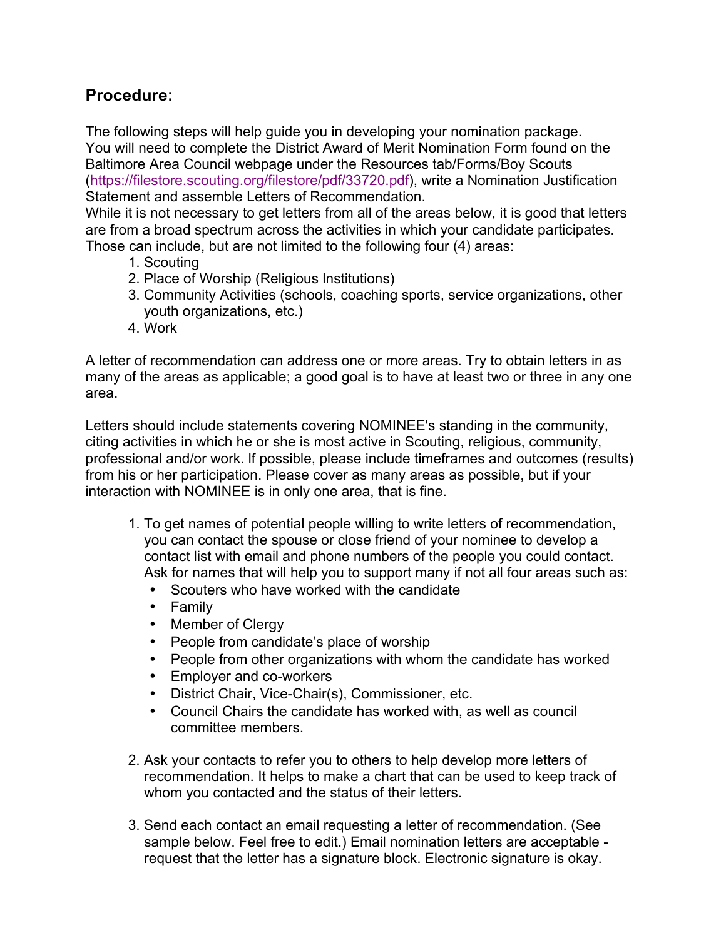## **Procedure:**

The following steps will help guide you in developing your nomination package. You will need to complete the District Award of Merit Nomination Form found on the Baltimore Area Council webpage under the Resources tab/Forms/Boy Scouts (https://filestore.scouting.org/filestore/pdf/33720.pdf), write a Nomination Justification Statement and assemble Letters of Recommendation.

While it is not necessary to get letters from all of the areas below, it is good that letters are from a broad spectrum across the activities in which your candidate participates. Those can include, but are not limited to the following four (4) areas:

- 1. Scouting
- 2. Place of Worship (Religious lnstitutions)
- 3. Community Activities (schools, coaching sports, service organizations, other youth organizations, etc.)
- 4. Work

A letter of recommendation can address one or more areas. Try to obtain letters in as many of the areas as applicable; a good goal is to have at least two or three in any one area.

Letters should include statements covering NOMINEE's standing in the community, citing activities in which he or she is most active in Scouting, religious, community, professional and/or work. lf possible, please include timeframes and outcomes (results) from his or her participation. Please cover as many areas as possible, but if your interaction with NOMINEE is in only one area, that is fine.

- 1. To get names of potential people willing to write letters of recommendation, you can contact the spouse or close friend of your nominee to develop a contact list with email and phone numbers of the people you could contact. Ask for names that will help you to support many if not all four areas such as:
	- Scouters who have worked with the candidate
	- Family
	- Member of Clergy
	- People from candidate's place of worship
	- People from other organizations with whom the candidate has worked
	- Employer and co-workers
	- District Chair, Vice-Chair(s), Commissioner, etc.
	- Council Chairs the candidate has worked with, as well as council committee members.
- 2. Ask your contacts to refer you to others to help develop more letters of recommendation. It helps to make a chart that can be used to keep track of whom you contacted and the status of their letters.
- 3. Send each contact an email requesting a letter of recommendation. (See sample below. Feel free to edit.) Email nomination letters are acceptable request that the letter has a signature block. Electronic signature is okay.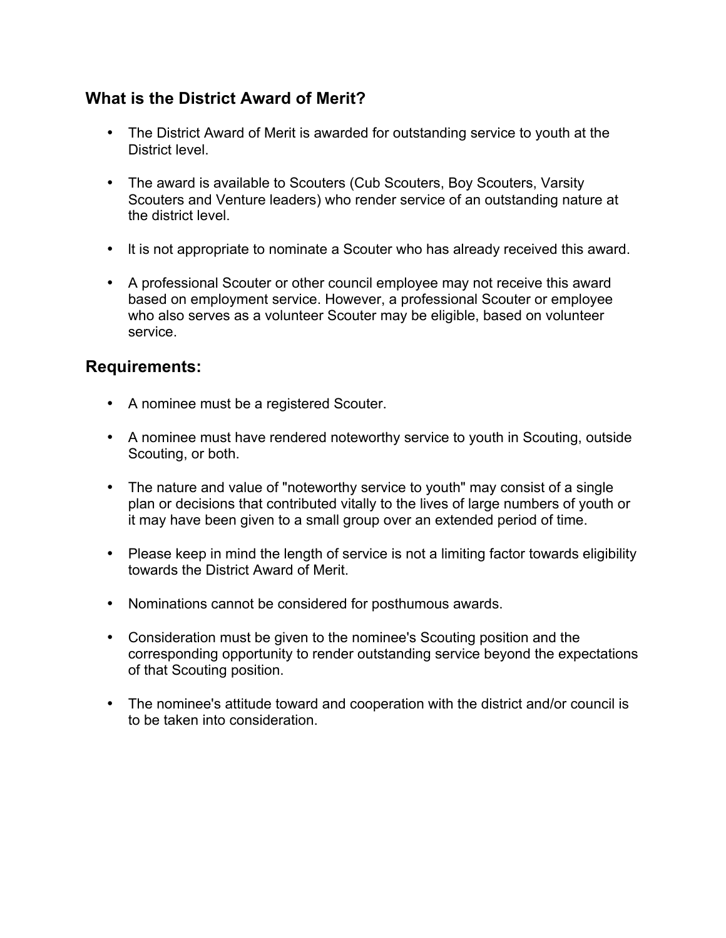## **What is the District Award of Merit?**

- The District Award of Merit is awarded for outstanding service to youth at the District level.
- The award is available to Scouters (Cub Scouters, Boy Scouters, Varsity Scouters and Venture leaders) who render service of an outstanding nature at the district level.
- lt is not appropriate to nominate a Scouter who has already received this award.
- A professional Scouter or other council employee may not receive this award based on employment service. However, a professional Scouter or employee who also serves as a volunteer Scouter may be eligible, based on volunteer service.

#### **Requirements:**

- A nominee must be a registered Scouter.
- A nominee must have rendered noteworthy service to youth in Scouting, outside Scouting, or both.
- The nature and value of "noteworthy service to youth" may consist of a single plan or decisions that contributed vitally to the lives of large numbers of youth or it may have been given to a small group over an extended period of time.
- Please keep in mind the length of service is not a limiting factor towards eligibility towards the District Award of Merit.
- Nominations cannot be considered for posthumous awards.
- Consideration must be given to the nominee's Scouting position and the corresponding opportunity to render outstanding service beyond the expectations of that Scouting position.
- The nominee's attitude toward and cooperation with the district and/or council is to be taken into consideration.